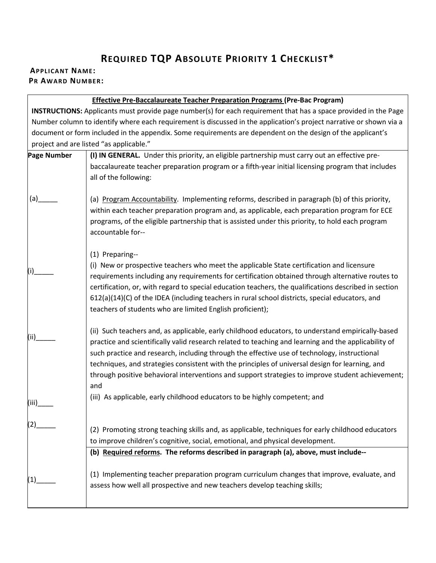## **REQUIRED TQP ABSOLUTE PRIORITY 1 CHECKLIST\***

## **APPLICANT NAME: PR AWARD NUMBER:**

|                                                                                                                        | <b>Effective Pre-Baccalaureate Teacher Preparation Programs (Pre-Bac Program)</b>                                                                                                                                                                                                                                                                                                                                                                                                                                                                                                                     |  |
|------------------------------------------------------------------------------------------------------------------------|-------------------------------------------------------------------------------------------------------------------------------------------------------------------------------------------------------------------------------------------------------------------------------------------------------------------------------------------------------------------------------------------------------------------------------------------------------------------------------------------------------------------------------------------------------------------------------------------------------|--|
| <b>INSTRUCTIONS:</b> Applicants must provide page number(s) for each requirement that has a space provided in the Page |                                                                                                                                                                                                                                                                                                                                                                                                                                                                                                                                                                                                       |  |
| Number column to identify where each requirement is discussed in the application's project narrative or shown via a    |                                                                                                                                                                                                                                                                                                                                                                                                                                                                                                                                                                                                       |  |
|                                                                                                                        | document or form included in the appendix. Some requirements are dependent on the design of the applicant's                                                                                                                                                                                                                                                                                                                                                                                                                                                                                           |  |
|                                                                                                                        | project and are listed "as applicable."                                                                                                                                                                                                                                                                                                                                                                                                                                                                                                                                                               |  |
| <b>Page Number</b>                                                                                                     | (I) IN GENERAL. Under this priority, an eligible partnership must carry out an effective pre-                                                                                                                                                                                                                                                                                                                                                                                                                                                                                                         |  |
|                                                                                                                        | baccalaureate teacher preparation program or a fifth-year initial licensing program that includes<br>all of the following:                                                                                                                                                                                                                                                                                                                                                                                                                                                                            |  |
| (a)                                                                                                                    | (a) Program Accountability. Implementing reforms, described in paragraph (b) of this priority,<br>within each teacher preparation program and, as applicable, each preparation program for ECE<br>programs, of the eligible partnership that is assisted under this priority, to hold each program<br>accountable for--                                                                                                                                                                                                                                                                               |  |
| (i)                                                                                                                    | (1) Preparing--<br>(i) New or prospective teachers who meet the applicable State certification and licensure<br>requirements including any requirements for certification obtained through alternative routes to<br>certification, or, with regard to special education teachers, the qualifications described in section<br>612(a)(14)(C) of the IDEA (including teachers in rural school districts, special educators, and<br>teachers of students who are limited English proficient);                                                                                                             |  |
| (ii)<br>(iii)                                                                                                          | (ii) Such teachers and, as applicable, early childhood educators, to understand empirically-based<br>practice and scientifically valid research related to teaching and learning and the applicability of<br>such practice and research, including through the effective use of technology, instructional<br>techniques, and strategies consistent with the principles of universal design for learning, and<br>through positive behavioral interventions and support strategies to improve student achievement;<br>and<br>(iii) As applicable, early childhood educators to be highly competent; and |  |
| (2)                                                                                                                    | (2) Promoting strong teaching skills and, as applicable, techniques for early childhood educators<br>to improve children's cognitive, social, emotional, and physical development.                                                                                                                                                                                                                                                                                                                                                                                                                    |  |
|                                                                                                                        | (b) Required reforms. The reforms described in paragraph (a), above, must include--                                                                                                                                                                                                                                                                                                                                                                                                                                                                                                                   |  |
| (1)                                                                                                                    | (1) Implementing teacher preparation program curriculum changes that improve, evaluate, and<br>assess how well all prospective and new teachers develop teaching skills;                                                                                                                                                                                                                                                                                                                                                                                                                              |  |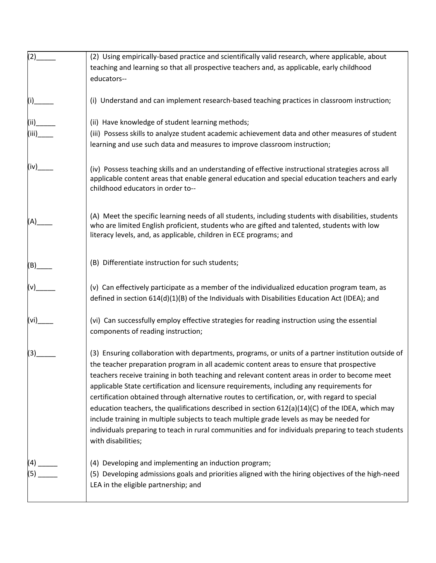| (2)           | (2) Using empirically-based practice and scientifically valid research, where applicable, about                                                                                                                                                                                                                                                                                                                                                                                                                                                                                                                                                                                                                                                                                                                                 |
|---------------|---------------------------------------------------------------------------------------------------------------------------------------------------------------------------------------------------------------------------------------------------------------------------------------------------------------------------------------------------------------------------------------------------------------------------------------------------------------------------------------------------------------------------------------------------------------------------------------------------------------------------------------------------------------------------------------------------------------------------------------------------------------------------------------------------------------------------------|
|               | teaching and learning so that all prospective teachers and, as applicable, early childhood<br>educators--                                                                                                                                                                                                                                                                                                                                                                                                                                                                                                                                                                                                                                                                                                                       |
| (i)__         | (i) Understand and can implement research-based teaching practices in classroom instruction;                                                                                                                                                                                                                                                                                                                                                                                                                                                                                                                                                                                                                                                                                                                                    |
| (ii)<br>(iii) | (ii) Have knowledge of student learning methods;<br>(iii) Possess skills to analyze student academic achievement data and other measures of student<br>learning and use such data and measures to improve classroom instruction;                                                                                                                                                                                                                                                                                                                                                                                                                                                                                                                                                                                                |
| (iv)__        | (iv) Possess teaching skills and an understanding of effective instructional strategies across all<br>applicable content areas that enable general education and special education teachers and early<br>childhood educators in order to--                                                                                                                                                                                                                                                                                                                                                                                                                                                                                                                                                                                      |
| (A)           | (A) Meet the specific learning needs of all students, including students with disabilities, students<br>who are limited English proficient, students who are gifted and talented, students with low<br>literacy levels, and, as applicable, children in ECE programs; and                                                                                                                                                                                                                                                                                                                                                                                                                                                                                                                                                       |
| $(B)$ ___     | (B) Differentiate instruction for such students;                                                                                                                                                                                                                                                                                                                                                                                                                                                                                                                                                                                                                                                                                                                                                                                |
|               | (v) Can effectively participate as a member of the individualized education program team, as<br>defined in section 614(d)(1)(B) of the Individuals with Disabilities Education Act (IDEA); and                                                                                                                                                                                                                                                                                                                                                                                                                                                                                                                                                                                                                                  |
| (vi)___       | (vi) Can successfully employ effective strategies for reading instruction using the essential<br>components of reading instruction;                                                                                                                                                                                                                                                                                                                                                                                                                                                                                                                                                                                                                                                                                             |
| (3)           | (3) Ensuring collaboration with departments, programs, or units of a partner institution outside of<br>the teacher preparation program in all academic content areas to ensure that prospective<br>teachers receive training in both teaching and relevant content areas in order to become meet<br>applicable State certification and licensure requirements, including any requirements for<br>certification obtained through alternative routes to certification, or, with regard to special<br>education teachers, the qualifications described in section $612(a)(14)(C)$ of the IDEA, which may<br>include training in multiple subjects to teach multiple grade levels as may be needed for<br>individuals preparing to teach in rural communities and for individuals preparing to teach students<br>with disabilities; |
| (4) _         | (4) Developing and implementing an induction program;<br>(5) Developing admissions goals and priorities aligned with the hiring objectives of the high-need<br>LEA in the eligible partnership; and                                                                                                                                                                                                                                                                                                                                                                                                                                                                                                                                                                                                                             |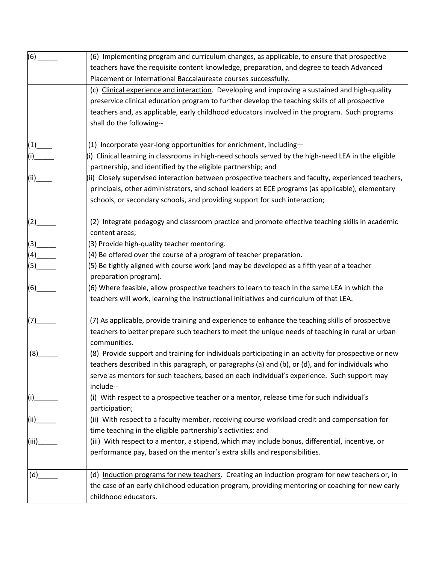| $(6)$ <sub>_____</sub>                         | (6) Implementing program and curriculum changes, as applicable, to ensure that prospective                                                                                                        |
|------------------------------------------------|---------------------------------------------------------------------------------------------------------------------------------------------------------------------------------------------------|
|                                                | teachers have the requisite content knowledge, preparation, and degree to teach Advanced                                                                                                          |
|                                                | Placement or International Baccalaureate courses successfully.                                                                                                                                    |
|                                                | (c) Clinical experience and interaction. Developing and improving a sustained and high-quality<br>preservice clinical education program to further develop the teaching skills of all prospective |
|                                                | teachers and, as applicable, early childhood educators involved in the program. Such programs<br>shall do the following--                                                                         |
| $(1)$ ___                                      | (1) Incorporate year-long opportunities for enrichment, including-                                                                                                                                |
| (i)                                            | (i) Clinical learning in classrooms in high-need schools served by the high-need LEA in the eligible<br>partnership, and identified by the eligible partnership; and                              |
| $\begin{pmatrix} 1 & 1 \\ 1 & 1 \end{pmatrix}$ | (ii) Closely supervised interaction between prospective teachers and faculty, experienced teachers,                                                                                               |
|                                                | principals, other administrators, and school leaders at ECE programs (as applicable), elementary                                                                                                  |
|                                                | schools, or secondary schools, and providing support for such interaction;                                                                                                                        |
|                                                | (2) Integrate pedagogy and classroom practice and promote effective teaching skills in academic<br>content areas;                                                                                 |
| $\begin{pmatrix} 3 \end{pmatrix}$              | (3) Provide high-quality teacher mentoring.                                                                                                                                                       |
| $(4)$ <sub>_______</sub>                       | (4) Be offered over the course of a program of teacher preparation.                                                                                                                               |
| $(5)$ <sub>_______</sub>                       | (5) Be tightly aligned with course work (and may be developed as a fifth year of a teacher                                                                                                        |
|                                                | preparation program).                                                                                                                                                                             |
| (6)                                            | (6) Where feasible, allow prospective teachers to learn to teach in the same LEA in which the                                                                                                     |
|                                                | teachers will work, learning the instructional initiatives and curriculum of that LEA.                                                                                                            |
|                                                | (7) As applicable, provide training and experience to enhance the teaching skills of prospective                                                                                                  |
|                                                | teachers to better prepare such teachers to meet the unique needs of teaching in rural or urban<br>communities.                                                                                   |
| (8)                                            | (8) Provide support and training for individuals participating in an activity for prospective or new                                                                                              |
|                                                | teachers described in this paragraph, or paragraphs (a) and (b), or (d), and for individuals who                                                                                                  |
|                                                | serve as mentors for such teachers, based on each individual's experience. Such support may<br>include--                                                                                          |
| (i)                                            | (i) With respect to a prospective teacher or a mentor, release time for such individual's<br>participation;                                                                                       |
| (iii)                                          | (ii) With respect to a faculty member, receiving course workload credit and compensation for                                                                                                      |
|                                                | time teaching in the eligible partnership's activities; and                                                                                                                                       |
| (iii)                                          | (iii) With respect to a mentor, a stipend, which may include bonus, differential, incentive, or                                                                                                   |
|                                                | performance pay, based on the mentor's extra skills and responsibilities.                                                                                                                         |
|                                                |                                                                                                                                                                                                   |
| (d)                                            | (d) Induction programs for new teachers. Creating an induction program for new teachers or, in                                                                                                    |
|                                                | the case of an early childhood education program, providing mentoring or coaching for new early                                                                                                   |
|                                                | childhood educators.                                                                                                                                                                              |